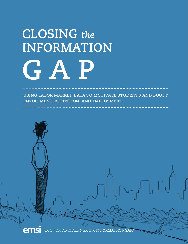# **CLOSING** *the*  **INFORMATION G A P**

 **USING LABOR MARKET DATA TO MOTIVATE STUDENTS AND BOOST ENROLLMENT, RETENTION, AND EMPLOYMENT**

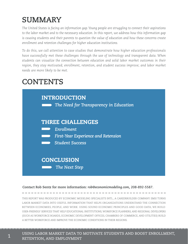## **SUMMARY**

*The United States is facing an information gap. Young people are struggling to connect their aspirations to the labor market and to the necessary education. In this report, we address how this information gap is causing students and their parents to question the value of education and how these concerns create enrollment and retention challenges for higher education institutions.*

*To do this, we call attention to case studies that demonstrate how higher education professionals have successfully met these challenges through the use of technology and transparent data. When students can visualize the connection between education and solid labor market outcomes in their region, they stay motivated; enrollment, retention, and student success improve; and labor market needs are more likely to be met.*

## **CONTENTS**



#### **Contact Rob Sentz for more information:** *rob@economicmodeling.com, 208-892-5587.*

THIS REPORT WAS PRODUCED BY ECONOMIC MODELING SPECIALISTS INTL., A CAREERBUILDER COMPANY. EMSI TURNS LABOR MARKET DATA INTO USEFUL INFORMATION THAT HELPS ORGANIZATIONS UNDERSTAND THE CONNECTION BETWEEN ECONOMIES, PEOPLE, AND WORK. USING SOUND ECONOMIC PRINCIPLES AND GOOD DATA, WE BUILD USER-FRIENDLY SERVICES THAT HELP EDUCATIONAL INSTITUTIONS, WORKFORCE PLANNERS, AND REGIONAL DEVELOPERS (SUCH AS WORKFORCE BOARDS, ECONOMIC DEVELOPMENT OFFICES, CHAMBERS OF COMMERCE, AND UTILITIES) BUILD A BETTER WORKFORCE AND IMPROVE THE ECONOMIC CONDITIONS IN THEIR REGIONS.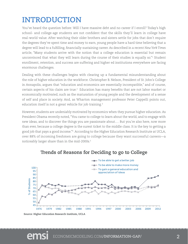## **INTRODUCTION**

You've heard the question before: Will I have massive debt and no career if I enroll? Today's high school- and college-age students are not confident that the skills they'll learn in college have real-world value. After watching their older brothers and sisters settle for jobs that don't require the degrees they've spent time and money to earn, young people have a hard time believing that a degree will lead to a fulfilling, financially-sustaining career. As described in a recent *New York Times* article, "Many students arrive with the notion that a college education is essential but remain unconvinced that what they will learn during the course of their studies is equally so."<sup>1</sup> Student enrollment, retention, and success are suffering and higher ed institutions everywhere are facing enormous challenges.

Dealing with these challenges begins with clearing up a fundamental misunderstanding about the role of higher education in the workforce. Christopher B. Nelson, President of St. John's College in Annapolis, argues that "education and economics are essentially incompatible," and of course, certain aspects of his claim are true. $^2\,$  Education has many benefits that are not labor market or economically motivated, such as the maturation of young people and the development of a sense of self and place in society. And, as Wharton management professor Peter Cappelli points out, education itself is not a great vehicle for job training.<sup>3</sup>

However, students are undeniably motivated by economics when they pursue higher education. As President Obama recently noted, "You came to college to learn about the world, and to engage with new ideas, and to discover the things you are passionate about.… But you're also here, now more than ever, because a college degree is the surest ticket to the middle class. It is the key to getting a good job that pays a good income."4 According to the Higher Education Research Institute at UCLA, over 88% of incoming freshmen are going to college because they want successful careers—a noticeably larger share than in the mid-2000s.5



#### **Trends of Reasons for Deciding to go to College**

**Source: Higher Education Research Institute, UCLA**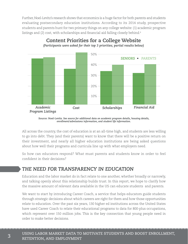Further, Noel-Levitz's research shows that economics is a huge factor for both parents and students evaluating postsecondary education institutions. According to its 2014 study, prospective students and parents hunt for two primary things on any college website: (1) academic program listings and (2) cost, with scholarships and financial aid falling closely behind. $^{\circ}$ 



**Content Priorities for a College Website**

*(Participants were asked for their top 3 priorities; partial results below)*

All across the country, the cost of education is at an all-time high, and students are less willing to go into debt. They (and their parents) want to know that there will be a positive return on their investment, and nearly all higher education institutions are being asked questions about how well their programs and curricula line up with what employers need.

So how can educators respond? What must parents and students know in order to feel confident in their decisions?

#### *THE NEED FOR TRANSPARENCY IN EDUCATION*

Education and the labor market do in fact relate to one another, whether broadly or narrowly, and talking openly about this relationship builds trust. In this report, we hope to clarify how the massive amount of relevant data available in the US can educate students and parents.

We want to start by introducing Career Coach, a service that helps educators guide students through strategic decisions about which careers are right for them and how those opportunities relate to education. Over the past six years, 130 higher ed institutions across the United States have used Career Coach to relate their educational programs to data for 800-plus occupations, which represent over 150 million jobs. This is the key connection that young people need in order to make better decisions.

**Source: Noel-Levitz.** *See source for additional data on academic program details, housing details, enrollment/***ad***missions information, and student life information.*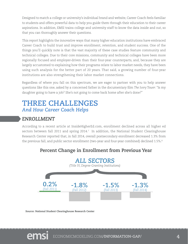Designed to match a college or university's individual brand and website, Career Coach feels familiar to students and offers powerful data to help you guide them through their education to their career aspirations. In addition, EMSI trains college and university staff to know the data inside and out, so that you can thoroughly answer their questions.

This report highlights the innovative ways that many higher education institutions have embraced Career Coach to build trust and improve enrollment, retention, and student success. One of the things you'll quickly note is that the vast majority of these case studies feature community and technical colleges. Due to their core missions, community and technical colleges have been more regionally focused and employer-driven than their four-year counterparts, and, because they are largely accustomed to explaining how their programs relate to labor market needs, they have been using such analysis for the better part of 20 years. That said, a growing number of four-year institutions are also strengthening their labor market connections.

Regardless of where you fall on this spectrum, we are eager to partner with you to help answer questions like this one, asked by a concerned father in the documentary film *The Ivory Tower*: "Is my daughter going to have a job? She's not going to come back home after she's done?"

### **THREE CHALLENGES** *And How Career Coach Helps*

#### *ENROLLMENT*

According to a recent article at InsideHigherEd.com, enrollment declined across all higher ed sectors between fall 2011 and spring 2014.<sup>7</sup> In addition, the National Student Clearinghouse Research Center reported that, in fall 2014, overall postsecondary enrollment decreased 1.3% from the previous fall, and public sector enrollment (two-year and four-year combined) declined 1.5%.<sup>8</sup>

#### **Percent Change in Enrollment from Previous Year**



**Source: National Student Clearinghouse Research Center**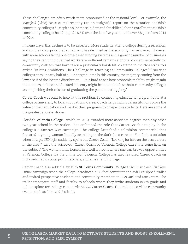These challenges are often much more pronounced at the regional level. For example, the *Mansfield* (Ohio) *News Journal* recently ran an insightful report on the situation at Ohio's community colleges.9 Despite an increase in demand for skilled labor,10 enrollment at Ohio's community colleges has dropped 18.5% over the last five years—and over 5% just from 2013 to 2014.

In some ways, this decline is to be expected: More students attend college during a recession, and so it is no surprise that enrollment has declined as the economy has recovered. However, with more schools facing outcome-based funding systems and a growing number of businesses saying they can't find qualified workers, enrollment remains a critical concern, especially for community colleges that have taken a particularly harsh hit. As stated in the *New York Times* article "Raising Ambitions: The Challenge in Teaching at Community Colleges," "Two-year colleges enroll nearly half of all undergraduates in this country, the majority coming from the lower half of the income distribution…. It is hard to see how economic mobility might regain momentum, or how an educated citizenry might be maintained, without community colleges accomplishing their mission of graduating the poor and struggling."

Career Coach was built to help fix this problem. By connecting educational program data at a college or university to local occupations, Career Coach helps individual institutions prove the value of their education and market their programs to prospective students. Here are some of the greatest success stories.

Florida's **Valencia College**—which, in 2010, awarded more associate degrees than any other two-year school in the nation—has embraced the role that Career Coach can play in the college's *A Smarter Way* campaign. The college launched a television commercial that featured a young woman literally searching in the dark for a career.<sup>11</sup> She finds a solution when a large, LED light suddenly spells out Career Coach. "Looking for info on the best careers in the area?" says the voiceover. "Career Coach by Valencia College can shine some light on the subject." The woman finds herself in a well-lit room where she can browse opportunities at Valencia College via the online tool. Valencia College has also featured Career Coach on billboards, radio spots, print materials, and a new landing page.

Career Coach also added a twist to **St. Louis Community College**'s *Step Inside and Find Your Future* campaign when the college introduced a 36-foot computer-and-WiFi-equipped trailer and invited prospective students and community members to *Click and Find Your Future*. The trailer transports staff and faculty to schools where they invite students (sixth-grade and up) to explore technology careers via STLCC Career Coach. The trailer also visits community events, such as fairs and festivals.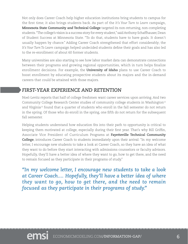Not only does Career Coach help higher education institutions bring students to campus for the first time; it also brings students back. As part of the *It's Your Turn to Learn* campaign, **Minnesota State Community and Technical College** targeted its non-returning, non-completing students. "The college's vision is a success story for every student," said Anthony Schaffhauser, Dean of Student Success at Minnesota State. "To do that, students have to have goals. It doesn't usually happen by chance." Adding Career Coach strengthened that effort considerably; the *It's Your Turn To Learn* campaign helped undecided students define their goals and has also led to the re-enrollment of about 60 former students.

Many universities are also starting to see how labor market data can demonstrate connections between their programs and growing regional opportunities, which in turn helps finalize enrollment decisions. For example, the **University of Idaho** plans to use Career Coach to boost enrollment by educating prospective students about its majors and the in-demand careers that could be attained with those majors.

#### *FIRST-YEAR EXPERIENCE AND RETENTION*

Noel-Levitz reports that half of college freshmen want career services upon arriving. And two Community College Research Center studies of community college students in Washington<sup>12</sup> and Virginia<sup>13</sup> found that a quarter of students who enroll in the fall semester do not return in the spring. Of those who do enroll in the spring, one fifth do not return for the subsequent fall semester.

Helping students understand how education fits into their path to opportunity is critical to keeping them motivated at college, especially during their first year. That's why Bill Griffin, Associate Vice President of Curriculum Programs at **Fayetteville Technical Community College**, introduces Career Coach to students immediately upon their arrival: "In my welcome letter, I encourage new students to take a look at Career Coach, so they have an idea of what they want to do before they start interacting with admissions counselors or faculty advisors. Hopefully, they'll have a better idea of where they want to go, how to get there, and the need to remain focused as they participate in their programs of study."

*"In my welcome letter, I encourage new students to take a look at Career Coach.... Hopefully, they'll have a better idea of where they want to go, how to get there, and the need to remain focused as they participate in their programs of study."*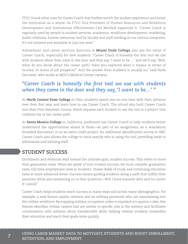FTCC found other uses for Career Coach that further enrich the student experience and better the institution as a whole. As FTCC Vice President of Human Resources and Workforce Development and Institutional Effectiveness Carl Mitchell explained it: "Career Coach is regularly used by people in student services, academics, workforce development, marketing, public relations, human resources, and by faculty and staff working at our various campuses. It's not isolated and available in just one area."

Advisement and career services directors at **Miami Dade College** also see the value of Career Coach, especially for new students. "Career Coach is honestly the first tool we use with students when they come in the door and they say, 'I want to be …' and we'll say, 'Well, what do you know about the career path? Have you explored what it means in terms of income, in terms of job prospects?' And the answer from students is usually no," said Paola Documet, who works at MDC's Medical Center campus.

#### *"Career Coach is honestly the first tool we use with students when they come in the door and they say, 'I want to be…' "*

At **North Central State College** in Ohio, students spend one-on-one time with their advisors over their first year and learn how to use Career Coach. The school also built Career Coach into their First Semester Course, which requires each student to use the tool in a project that confirms his or her career path.

At **Santa Monica College** in California, professors use Career Coach to help students better understand the opportunities ahead of them—as part of an assignment, as a mandatory threaded discussion, or as an extra credit project. An additional identification survey in SMC Career Coach also allows the college to track exactly who is using the tool, providing leads to admissions and advising staff.

#### *STUDENT SUCCESS*

Enrollment and retention lead toward the ultimate goal: student success. This refers to more than graduation rates. When we speak of true student success, we must consider graduation rates, full-time employment rates in students' chosen fields of study, and continuing education rates at more advanced levels. Success means guiding students along a path that fulfills their passions while also answering no to that question—Will I have massive debt and no career if I enroll?

Career Coach helps students reach success in many ways and across many demographics. For example, a new feature assists veterans and ex-military personnel who are transitioning into the civilian workforce. By mapping military occupation codes to standard occupation codes, this feature identifies civilian careers that are similar to specific jobs in the military and facilitates conversations with advisors about transferrable skills, helping veteran students streamline their education and reach their goals more quickly.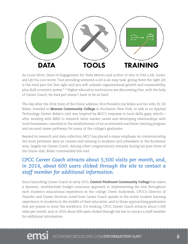

As Louis Efron, Head of Engagement for Tesla Motors and author of *How to Find a Job*, *Career*, *and Life You Love* wrote, "Just providing someone a job is an easy task; giving them the right job is the hard part.Get this right and you will unleash organizational growth and sustainability, plus shift economic power." 14 Higher education institutions are discovering that, with the help of Career Coach, *the hard part* doesn't have to be so hard.

The day after the 2014 State of the Union address, Vice President Joe Biden and his wife, Dr. Jill Biden, traveled to **Monroe Community College** in Rochester, New York, to talk at its Applied Technology Center. Biden's visit was inspired by MCC's response to local skills gaps, which after working with EMSI to research labor market needs and developing relationships with local businesses—resulted in the establishment of an accelerated machinist training program and secured career pathways for many of the college's graduates.

Beyond its research and data collection, MCC has placed a major emphasis on communicating the most pertinent data on careers and training to students and jobseekers in the Rochester area, largely via Career Coach. Among other congratulatory remarks during his post-State of the Union visit, Biden commended this tool.

#### *CPCC Career Coach attracts about 5,500 visits per month, and, in 2014, about 600 users clicked through the site to contact a staff member for additional information.*

Since launching Career Coach in early 2013, **Central Piedmont Community College** has taken a dynamic, multifaceted, budget-conscious approach to implementing the tool throughout each student's educational experience at the college. Owen Sutkowski, CPCC's Director of Transfer and Career Services, noted how Career Coach speaks to the entire student learning experience, to students in the middle of their education, and to those approaching graduation that are poised to enter the workforce. It's working. CPCC Career Coach attracts about 5,500 visits per month, and, in 2014, about 600 users clicked through the site to contact a staff member for additional information.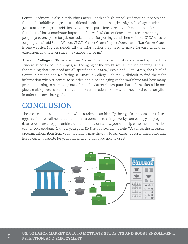Central Piedmont is also distributing Career Coach to high school guidance counselors and the area's "middle colleges"—transitional institutions that give high school-age students a jumpstart on college. In addition, CPCC hired a part-time Career Coach expert to make certain that the tool has a maximum impact. "Before we had Career Coach, I was recommending that people go to one place for job outlook, another for postings, and then visit the CPCC website for programs," said Sarah Wilson, CPCC's Career Coach Project Coordinator. "But Career Coach is one website. It gives people all the information they need to move forward with their education, at whatever stage they happen to be in."

**Amarillo College** in Texas also uses Career Coach as part of its data-based approach to student success. "All the wages, all the aging of the workforce, all the job openings and all the training that you need are all specific to our area," explained Ellen Green, the Chief of Communications and Marketing at Amarillo College. "It's really difficult to find the right information when it comes to salaries and also the aging of the workforce and how many people are going to be moving out of the job." Career Coach puts that information all in one place, making success easier to attain because students know what they need to accomplish in order to reach their goals.

## **CONCLUSION**

These case studies illustrate that when students can identify their goals and visualize related opportunities, enrollment, retention, and student success improve. By connecting your program data to real career opportunities, whether broad or narrow, you will help close the information gap for your students. If this is your goal, EMSI is in a position to help. We collect the necessary program information from your institution, map the data to real career opportunities, build and host a custom website for your students, and train you how to use it.

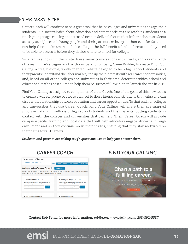#### *THE NEXT STEP*

Career Coach will continue to be a great tool that helps colleges and universities engage their students. But uncertainties about education and career decisions are reaching students at a much younger age, causing an increased need to deliver labor market information to students as early as high school. Young people and their parents are hungrier than ever for data that can help them make smarter choices. To get the full benefit of this information, they need to be able to access it before they decide where to enroll for college.

So, after meetings with the White House, many conversations with clients, and a year's worth of research, we've begun work with our parent company, CareerBuilder, to create Find Your Calling: a free, national, youth-oriented website designed to help high school students and their parents understand the labor market, line up their interests with real career opportunities, and, based on all of the colleges and universities in their area, determine which school and educational path is best suited to help them be successful. We plan to launch the site in 2015.

Find Your Calling is designed to complement Career Coach. One of the goals of this new tool is to create a way for young people to connect to those higher ed institutions that value and can discuss the relationship between education and career opportunities. To that end, for colleges and universities that use Career Coach, Find Your Calling will share their pre-mapped program data with millions of high school students and their parents, putting students in contact with the colleges and universities that can help. Then, Career Coach will provide campus-specific training and local data that will help educators engage students through enrollment and as they continue on in their studies, ensuring that they stay motivated on their paths toward careers.

*Students and parents are asking tough questions. Let us help you answer them.*



#### *CAREER COACH FIND YOUR CALLING*



**Contact Rob Sentz for more information:** *rob@economicmodeling.com, 208-892-5587.*